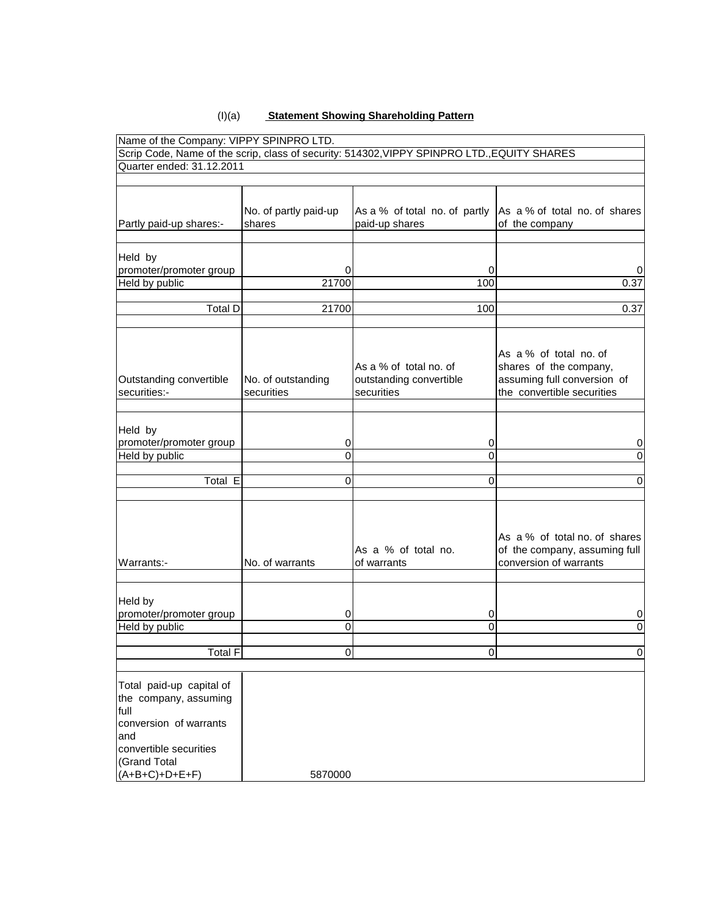#### (I)(a) **Statement Showing Shareholding Pattern**

| Name of the Company: VIPPY SPINPRO LTD.                                                                                              |                                  |                                                                                             |                                                                                                               |
|--------------------------------------------------------------------------------------------------------------------------------------|----------------------------------|---------------------------------------------------------------------------------------------|---------------------------------------------------------------------------------------------------------------|
|                                                                                                                                      |                                  | Scrip Code, Name of the scrip, class of security: 514302, VIPPY SPINPRO LTD., EQUITY SHARES |                                                                                                               |
| Quarter ended: 31.12.2011                                                                                                            |                                  |                                                                                             |                                                                                                               |
|                                                                                                                                      |                                  |                                                                                             |                                                                                                               |
| Partly paid-up shares:-                                                                                                              | No. of partly paid-up<br>shares  | As a % of total no. of partly<br>paid-up shares                                             | As a % of total no. of shares<br>of the company                                                               |
| Held by<br>promoter/promoter group                                                                                                   | 0                                | 0                                                                                           | 0                                                                                                             |
| Held by public                                                                                                                       | 21700                            | 100                                                                                         | 0.37                                                                                                          |
|                                                                                                                                      |                                  |                                                                                             |                                                                                                               |
| <b>Total D</b>                                                                                                                       | 21700                            | 100                                                                                         | 0.37                                                                                                          |
| Outstanding convertible<br>securities:-                                                                                              | No. of outstanding<br>securities | As a % of total no. of<br>outstanding convertible<br>securities                             | As a % of total no. of<br>shares of the company,<br>assuming full conversion of<br>the convertible securities |
| Held by<br>promoter/promoter group                                                                                                   | 0                                | 0                                                                                           | 0                                                                                                             |
| Held by public                                                                                                                       | 0                                | 0                                                                                           | 0                                                                                                             |
|                                                                                                                                      |                                  |                                                                                             |                                                                                                               |
| Total $E$                                                                                                                            | 0                                | 0                                                                                           | 0                                                                                                             |
| Warrants:-                                                                                                                           | No. of warrants                  | As a % of total no.<br>of warrants                                                          | As a % of total no. of shares<br>of the company, assuming full<br>conversion of warrants                      |
| Held by<br>promoter/promoter group                                                                                                   | 0                                | 0                                                                                           | 0                                                                                                             |
| Held by public                                                                                                                       | 0                                | 0                                                                                           | 0                                                                                                             |
| <b>Total F</b>                                                                                                                       | $\overline{0}$                   | 0                                                                                           | 0                                                                                                             |
|                                                                                                                                      |                                  |                                                                                             |                                                                                                               |
| Total paid-up capital of<br>the company, assuming<br>full<br>conversion of warrants<br>and<br>convertible securities<br>(Grand Total |                                  |                                                                                             |                                                                                                               |
| $(A+B+C)+D+E+F)$                                                                                                                     | 5870000                          |                                                                                             |                                                                                                               |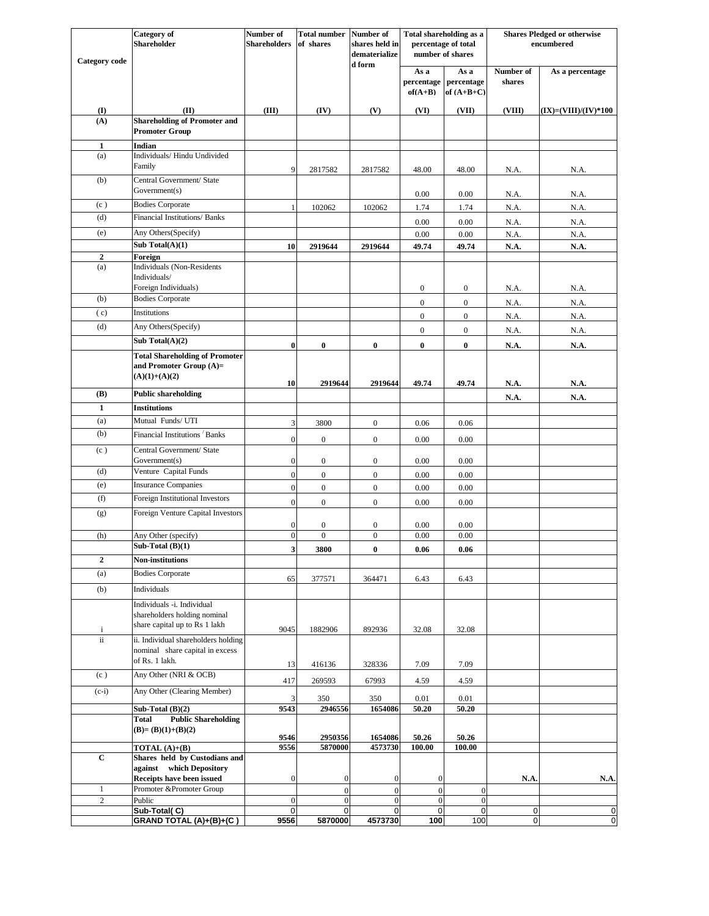| <b>Category</b> code     | <b>Category</b> of<br><b>Shareholder</b>                                                    | Number of<br><b>Shareholders</b> | <b>Total number</b><br>of shares | Number of<br>shares held in<br>dematerialize | Total shareholding as a<br>percentage of total<br>number of shares |                                    | <b>Shares Pledged or otherwise</b><br>encumbered |                          |
|--------------------------|---------------------------------------------------------------------------------------------|----------------------------------|----------------------------------|----------------------------------------------|--------------------------------------------------------------------|------------------------------------|--------------------------------------------------|--------------------------|
|                          |                                                                                             |                                  |                                  | d form                                       | As a<br>percentage<br>$of(A+B)$                                    | As a<br>percentage<br>of $(A+B+C)$ | Number of<br>shares                              | As a percentage          |
| $\mathbf{I}$             | (II)                                                                                        | (III)                            | (IV)                             | (V)                                          | (VI)                                                               | (VII)                              | (VIII)                                           | $(IX) = (VIII)/(IV)*100$ |
| (A)                      | <b>Shareholding of Promoter and</b><br><b>Promoter Group</b>                                |                                  |                                  |                                              |                                                                    |                                    |                                                  |                          |
| $\mathbf{1}$             | Indian                                                                                      |                                  |                                  |                                              |                                                                    |                                    |                                                  |                          |
| (a)                      | Individuals/ Hindu Undivided                                                                |                                  |                                  |                                              |                                                                    |                                    |                                                  |                          |
|                          | Family                                                                                      | 9                                | 2817582                          | 2817582                                      | 48.00                                                              | 48.00                              | N.A.                                             | N.A.                     |
| (b)                      | Central Government/ State<br>Government(s)                                                  |                                  |                                  |                                              | 0.00                                                               | 0.00                               | N.A.                                             | N.A.                     |
| (c)                      | <b>Bodies Corporate</b>                                                                     | -1                               | 102062                           | 102062                                       | 1.74                                                               | 1.74                               | N.A.                                             | N.A.                     |
| (d)                      | Financial Institutions/ Banks                                                               |                                  |                                  |                                              | 0.00                                                               | 0.00                               | N.A.                                             | N.A.                     |
| (e)                      | Any Others(Specify)                                                                         |                                  |                                  |                                              | 0.00                                                               | 0.00                               | N.A.                                             | N.A.                     |
|                          | Sub Total(A)(1)                                                                             | 10                               | 2919644                          | 2919644                                      | 49.74                                                              | 49.74                              | N.A.                                             | <b>N.A.</b>              |
| $\boldsymbol{2}$         | Foreign                                                                                     |                                  |                                  |                                              |                                                                    |                                    |                                                  |                          |
| (a)                      | <b>Individuals (Non-Residents</b><br>Individuals/                                           |                                  |                                  |                                              |                                                                    |                                    |                                                  |                          |
|                          | Foreign Individuals)                                                                        |                                  |                                  |                                              | $\boldsymbol{0}$                                                   | 0                                  | N.A.                                             | N.A.                     |
| (b)                      | <b>Bodies Corporate</b>                                                                     |                                  |                                  |                                              | $\mathbf{0}$                                                       | $\boldsymbol{0}$                   | $\rm N.A.$                                       | N.A.                     |
| (c)                      | Institutions                                                                                |                                  |                                  |                                              | $\mathbf{0}$                                                       | $\boldsymbol{0}$                   | N.A.                                             | N.A.                     |
| (d)                      | Any Others(Specify)                                                                         |                                  |                                  |                                              | $\boldsymbol{0}$                                                   | $\boldsymbol{0}$                   | $\rm N.A.$                                       | N.A.                     |
|                          | Sub Total $(A)(2)$                                                                          | $\bf{0}$                         | $\bf{0}$                         | $\bf{0}$                                     | $\bf{0}$                                                           | $\bf{0}$                           | N.A.                                             | <b>N.A.</b>              |
|                          | <b>Total Shareholding of Promoter</b><br>and Promoter Group (A)=                            |                                  |                                  |                                              |                                                                    |                                    |                                                  |                          |
|                          | $(A)(1)+(A)(2)$                                                                             | 10                               | 2919644                          | 2919644                                      | 49.74                                                              | 49.74                              | N.A.                                             | N.A.                     |
| (B)                      | <b>Public shareholding</b>                                                                  |                                  |                                  |                                              |                                                                    |                                    | N.A.                                             | N.A.                     |
| $\mathbf{1}$             | <b>Institutions</b>                                                                         |                                  |                                  |                                              |                                                                    |                                    |                                                  |                          |
| (a)                      | Mutual Funds/ UTI                                                                           | 3                                | 3800                             | $\boldsymbol{0}$                             | 0.06                                                               | 0.06                               |                                                  |                          |
| (b)                      | Financial Institutions Banks                                                                | $\overline{0}$                   | $\mathbf{0}$                     | $\boldsymbol{0}$                             | 0.00                                                               | 0.00                               |                                                  |                          |
| (c)                      | Central Government/ State<br>Government(s)                                                  | $\boldsymbol{0}$                 | $\boldsymbol{0}$                 | $\boldsymbol{0}$                             | 0.00                                                               | 0.00                               |                                                  |                          |
| (d)                      | Venture Capital Funds                                                                       | $\theta$                         | $\mathbf{0}$                     | $\boldsymbol{0}$                             | 0.00                                                               | 0.00                               |                                                  |                          |
| (e)                      | <b>Insurance Companies</b>                                                                  | $\overline{0}$                   | $\boldsymbol{0}$                 | $\boldsymbol{0}$                             | 0.00                                                               | 0.00                               |                                                  |                          |
| (f)                      | Foreign Institutional Investors                                                             | $\overline{0}$                   | $\mathbf{0}$                     | $\boldsymbol{0}$                             | 0.00                                                               | 0.00                               |                                                  |                          |
| (g)                      | Foreign Venture Capital Investors                                                           | $\overline{0}$                   | $\boldsymbol{0}$                 | $\boldsymbol{0}$                             | 0.00                                                               | 0.00                               |                                                  |                          |
| (h)                      | Any Other (specify)                                                                         | $\theta$                         | $\boldsymbol{0}$                 | $\boldsymbol{0}$                             | 0.00                                                               | 0.00                               |                                                  |                          |
|                          | Sub-Total (B)(1)                                                                            | $\overline{\mathbf{3}}$          | 3800                             | $\bf{0}$                                     | 0.06                                                               | 0.06                               |                                                  |                          |
| $\overline{2}$           | Non-institutions                                                                            |                                  |                                  |                                              |                                                                    |                                    |                                                  |                          |
| (a)                      | <b>Bodies Corporate</b>                                                                     | 65                               | 377571                           | 364471                                       | 6.43                                                               | 6.43                               |                                                  |                          |
| (b)                      | Individuals                                                                                 |                                  |                                  |                                              |                                                                    |                                    |                                                  |                          |
|                          | Individuals -i. Individual<br>shareholders holding nominal<br>share capital up to Rs 1 lakh |                                  |                                  |                                              |                                                                    |                                    |                                                  |                          |
| $\mathbf{i}$<br>$\rm ii$ | ii. Individual shareholders holding<br>nominal share capital in excess<br>of Rs. 1 lakh.    | 9045                             | 1882906                          | 892936                                       | 32.08                                                              | 32.08                              |                                                  |                          |
| (c)                      | Any Other (NRI & OCB)                                                                       | 13                               | 416136                           | 328336                                       | 7.09                                                               | 7.09                               |                                                  |                          |
| $(c-i)$                  | Any Other (Clearing Member)                                                                 | 417                              | 269593                           | 67993                                        | 4.59                                                               | 4.59                               |                                                  |                          |
|                          | Sub-Total $(B)(2)$                                                                          | 9543                             | 350<br>2946556                   | 350<br>1654086                               | 0.01<br>50.20                                                      | 0.01<br>50.20                      |                                                  |                          |
|                          | <b>Public Shareholding</b><br>Total<br>$(B)=(B)(1)+(B)(2)$                                  |                                  |                                  |                                              |                                                                    |                                    |                                                  |                          |
|                          |                                                                                             | 9546                             | 2950356                          | 1654086                                      | 50.26                                                              | 50.26                              |                                                  |                          |
| $\mathbf C$              | <b>TOTAL</b> $(A)+(B)$<br>Shares held by Custodians and                                     | 9556                             | 5870000                          | 4573730                                      | 100.00                                                             | 100.00                             |                                                  |                          |
|                          | against which Depository<br>Receipts have been issued                                       | $\overline{0}$                   | $\bf{0}$                         | $\boldsymbol{0}$                             | $\overline{0}$                                                     |                                    | N.A.                                             | N.A.                     |
| $\mathbf{1}$             | Promoter & Promoter Group                                                                   |                                  | $\overline{0}$                   | $\mathbf{0}$                                 | $\overline{0}$                                                     | $\mathbf{0}$                       |                                                  |                          |
| $\overline{c}$           | Public                                                                                      | $\theta$                         | $\boldsymbol{0}$                 | $\overline{0}$                               | $\mathbf{0}$                                                       | $\boldsymbol{0}$                   |                                                  |                          |
|                          | Sub-Total(C)                                                                                | $\overline{0}$                   | $\mathbf 0$                      | $\mathbf 0$                                  | $\overline{0}$                                                     | $\overline{0}$                     | $\overline{0}$                                   | 0                        |
|                          | GRAND TOTAL (A)+(B)+(C)                                                                     | 9556                             | 5870000                          | 4573730                                      | 100                                                                | 100                                | $\overline{0}$                                   | $\pmb{0}$                |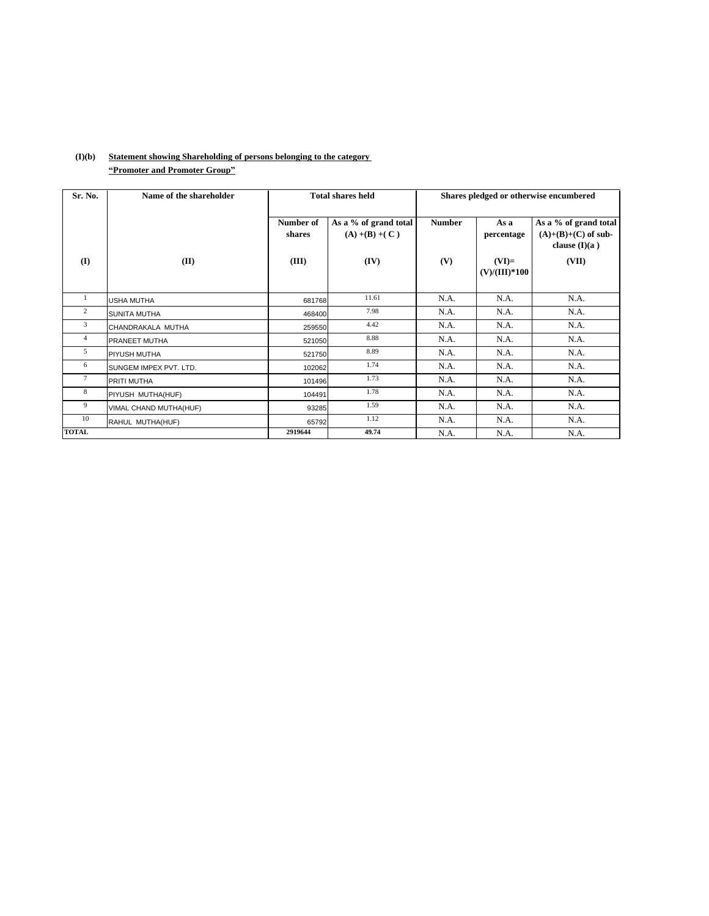| Sr. No.         | Name of the shareholder |                              | <b>Total shares held</b>                           |                      | Shares pledged or otherwise encumbered           |                                                                            |  |  |
|-----------------|-------------------------|------------------------------|----------------------------------------------------|----------------------|--------------------------------------------------|----------------------------------------------------------------------------|--|--|
| $\bf(I)$        | (II)                    | Number of<br>shares<br>(III) | As a % of grand total<br>$(A) + (B) + (C)$<br>(IV) | <b>Number</b><br>(V) | As a<br>percentage<br>$(VI)=$<br>$(V)/(III)*100$ | As a % of grand total<br>$(A)+(B)+(C)$ of sub-<br>clause $(I)(a)$<br>(VII) |  |  |
| 1               | <b>USHA MUTHA</b>       | 681768                       | 11.61                                              | N.A.                 | N.A.                                             | N.A.                                                                       |  |  |
| 2               | <b>SUNITA MUTHA</b>     | 468400                       | 7.98                                               | N.A.                 | N.A.                                             | N.A.                                                                       |  |  |
| 3               | CHANDRAKALA MUTHA       | 259550                       | 4.42                                               | N.A.                 | N.A.                                             | N.A.                                                                       |  |  |
| $\overline{4}$  | PRANEET MUTHA           | 521050                       | 8.88                                               | N.A.                 | N.A.                                             | N.A.                                                                       |  |  |
| 5               | PIYUSH MUTHA            | 521750                       | 8.89                                               | N.A.                 | N.A.                                             | N.A.                                                                       |  |  |
| 6               | SUNGEM IMPEX PVT. LTD.  | 102062                       | 1.74                                               | N.A.                 | N.A.                                             | N.A.                                                                       |  |  |
| $7\phantom{.0}$ | PRITI MUTHA             | 101496                       | 1.73                                               | N.A.                 | N.A.                                             | N.A.                                                                       |  |  |
| 8               | PIYUSH MUTHA(HUF)       | 104491                       | 1.78                                               | N.A.                 | N.A.                                             | N.A.                                                                       |  |  |
| 9               | VIMAL CHAND MUTHA(HUF)  | 93285                        | 1.59                                               | N.A.                 | N.A.                                             | N.A.                                                                       |  |  |
| 10              | RAHUL MUTHA(HUF)        | 65792                        | 1.12                                               | N.A.                 | N.A.                                             | N.A.                                                                       |  |  |
| <b>TOTAL</b>    |                         | 2919644                      | 49.74                                              | N.A.                 | N.A.                                             | N.A.                                                                       |  |  |

## **(I)(b) Statement showing Shareholding of persons belonging to the category ìPromoter and Promoter Groupî**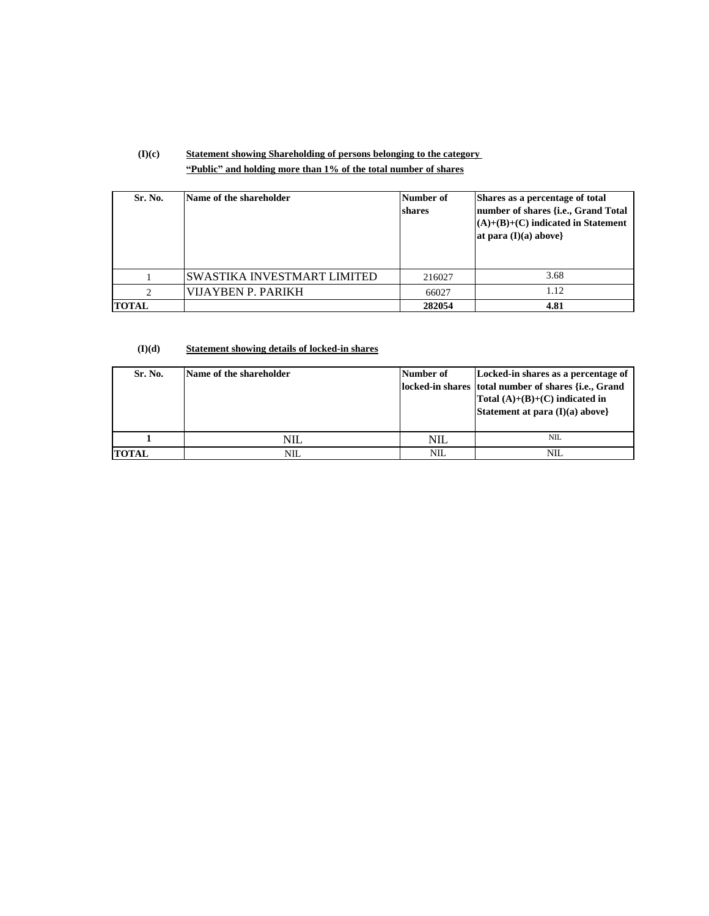# **(I)(c) Statement showing Shareholding of persons belonging to the category ìPublicî and holding more than 1% of the total number of shares**

| Sr. No.                     | Name of the shareholder      | Number of<br>shares | Shares as a percentage of total<br>number of shares {i.e., Grand Total<br>$(A)+(B)+(C)$ indicated in Statement<br>at para $(I)(a)$ above} |
|-----------------------------|------------------------------|---------------------|-------------------------------------------------------------------------------------------------------------------------------------------|
|                             | ISWASTIKA INVESTMART LIMITED | 216027              | 3.68                                                                                                                                      |
| $\mathcal{D}_{\mathcal{L}}$ | VIJAYBEN P. PARIKH           | 66027               | 1.12                                                                                                                                      |
| <b>TOTAL</b>                |                              | 282054              | 4.81                                                                                                                                      |

#### **(I)(d) Statement showing details of locked-in shares**

| Sr. No.      | Name of the shareholder | Number of | Locked-in shares as a percentage of<br>locked-in shares total number of shares {i.e., Grand<br>Total $(A)+(B)+(C)$ indicated in<br>Statement at para (I)(a) above} |
|--------------|-------------------------|-----------|--------------------------------------------------------------------------------------------------------------------------------------------------------------------|
|              | NIL                     | NIL       | <b>NIL</b>                                                                                                                                                         |
| <b>TOTAL</b> | NIL                     | NIL       | NIL                                                                                                                                                                |